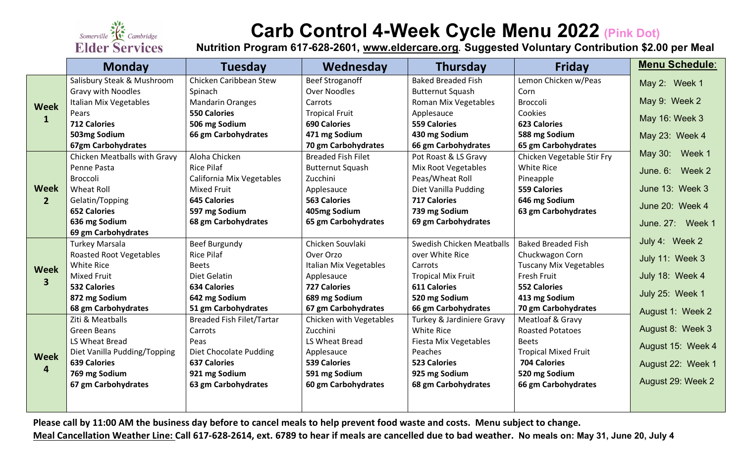

## **Carb Control 4-Week Cycle Menu 2022 (Pink Dot)**

**Nutrition Program 617-628-2601, [www.eldercare.org](about:blank). Suggested Voluntary Contribution \$2.00 per Meal**

|                               | <b>Monday</b>                  | <b>Tuesday</b>                   | Wednesday                 | <b>Thursday</b>            | <b>Friday</b>                 | <b>Menu Schedule:</b> |
|-------------------------------|--------------------------------|----------------------------------|---------------------------|----------------------------|-------------------------------|-----------------------|
| <b>Week</b><br>$\mathbf{1}$   | Salisbury Steak & Mushroom     | Chicken Caribbean Stew           | <b>Beef Stroganoff</b>    | <b>Baked Breaded Fish</b>  | Lemon Chicken w/Peas          | May 2: Week 1         |
|                               | <b>Gravy with Noodles</b>      | Spinach                          | <b>Over Noodles</b>       | <b>Butternut Squash</b>    | Corn                          |                       |
|                               | Italian Mix Vegetables         | <b>Mandarin Oranges</b>          | Carrots                   | Roman Mix Vegetables       | <b>Broccoli</b>               | May 9: Week 2         |
|                               | Pears                          | <b>550 Calories</b>              | <b>Tropical Fruit</b>     | Applesauce                 | Cookies                       | May 16: Week 3        |
|                               | <b>712 Calories</b>            | 506 mg Sodium                    | <b>690 Calories</b>       | <b>559 Calories</b>        | <b>623 Calories</b>           |                       |
|                               | 503mg Sodium                   | 66 gm Carbohydrates              | 471 mg Sodium             | 430 mg Sodium              | 588 mg Sodium                 | May 23: Week 4        |
|                               | 67gm Carbohydrates             |                                  | 70 gm Carbohydrates       | 66 gm Carbohydrates        | 65 gm Carbohydrates           |                       |
| Week<br>2 <sup>1</sup>        | Chicken Meatballs with Gravy   | Aloha Chicken                    | <b>Breaded Fish Filet</b> | Pot Roast & LS Gravy       | Chicken Vegetable Stir Fry    | May 30: Week 1        |
|                               | Penne Pasta                    | <b>Rice Pilaf</b>                | <b>Butternut Squash</b>   | <b>Mix Root Vegetables</b> | <b>White Rice</b>             | June. 6: Week 2       |
|                               | <b>Broccoli</b>                | California Mix Vegetables        | Zucchini                  | Peas/Wheat Roll            | Pineapple                     |                       |
|                               | <b>Wheat Roll</b>              | <b>Mixed Fruit</b>               | Applesauce                | Diet Vanilla Pudding       | <b>559 Calories</b>           | June 13: Week 3       |
|                               | Gelatin/Topping                | <b>645 Calories</b>              | <b>563 Calories</b>       | <b>717 Calories</b>        | 646 mg Sodium                 | June 20: Week 4       |
|                               | <b>652 Calories</b>            | 597 mg Sodium                    | 405mg Sodium              | 739 mg Sodium              | 63 gm Carbohydrates           |                       |
|                               | 636 mg Sodium                  | 68 gm Carbohydrates              | 65 gm Carbohydrates       | 69 gm Carbohydrates        |                               | June. 27: Week 1      |
|                               | 69 gm Carbohydrates            |                                  |                           |                            |                               |                       |
| Week<br>3 <sup>1</sup>        | <b>Turkey Marsala</b>          | Beef Burgundy                    | Chicken Souvlaki          | Swedish Chicken Meatballs  | <b>Baked Breaded Fish</b>     | July 4: Week 2        |
|                               | <b>Roasted Root Vegetables</b> | <b>Rice Pilaf</b>                | Over Orzo                 | over White Rice            | Chuckwagon Corn               | July 11: Week 3       |
|                               | White Rice                     | <b>Beets</b>                     | Italian Mix Vegetables    | Carrots                    | <b>Tuscany Mix Vegetables</b> |                       |
|                               | <b>Mixed Fruit</b>             | Diet Gelatin                     | Applesauce                | <b>Tropical Mix Fruit</b>  | Fresh Fruit                   | July 18: Week 4       |
|                               | <b>532 Calories</b>            | <b>634 Calories</b>              | <b>727 Calories</b>       | <b>611 Calories</b>        | <b>552 Calories</b>           | July 25: Week 1       |
|                               | 872 mg Sodium                  | 642 mg Sodium                    | 689 mg Sodium             | 520 mg Sodium              | 413 mg Sodium                 |                       |
|                               | 68 gm Carbohydrates            | 51 gm Carbohydrates              | 67 gm Carbohydrates       | 66 gm Carbohydrates        | 70 gm Carbohydrates           | August 1: Week 2      |
| <b>Week</b><br>$\overline{4}$ | Ziti & Meatballs               | <b>Breaded Fish Filet/Tartar</b> | Chicken with Vegetables   | Turkey & Jardiniere Gravy  | Meatloaf & Gravy              |                       |
|                               | <b>Green Beans</b>             | Carrots                          | Zucchini                  | White Rice                 | <b>Roasted Potatoes</b>       | August 8: Week 3      |
|                               | LS Wheat Bread                 | Peas                             | LS Wheat Bread            | Fiesta Mix Vegetables      | <b>Beets</b>                  | August 15: Week 4     |
|                               | Diet Vanilla Pudding/Topping   | Diet Chocolate Pudding           | Applesauce                | Peaches                    | <b>Tropical Mixed Fruit</b>   |                       |
|                               | <b>639 Calories</b>            | <b>637 Calories</b>              | <b>539 Calories</b>       | <b>523 Calories</b>        | <b>704 Calories</b>           | August 22: Week 1     |
|                               | 769 mg Sodium                  | 921 mg Sodium                    | 591 mg Sodium             | 925 mg Sodium              | 520 mg Sodium                 | August 29: Week 2     |
|                               | 67 gm Carbohydrates            | 63 gm Carbohydrates              | 60 gm Carbohydrates       | 68 gm Carbohydrates        | 66 gm Carbohydrates           |                       |
|                               |                                |                                  |                           |                            |                               |                       |
|                               |                                |                                  |                           |                            |                               |                       |

**Please call by 11:00 AM the business day before to cancel meals to help prevent food waste and costs. Menu subject to change.** 

**Meal Cancellation Weather Line: Call 617-628-2614, ext. 6789 to hear if meals are cancelled due to bad weather. No meals on: May 31, June 20, July 4**